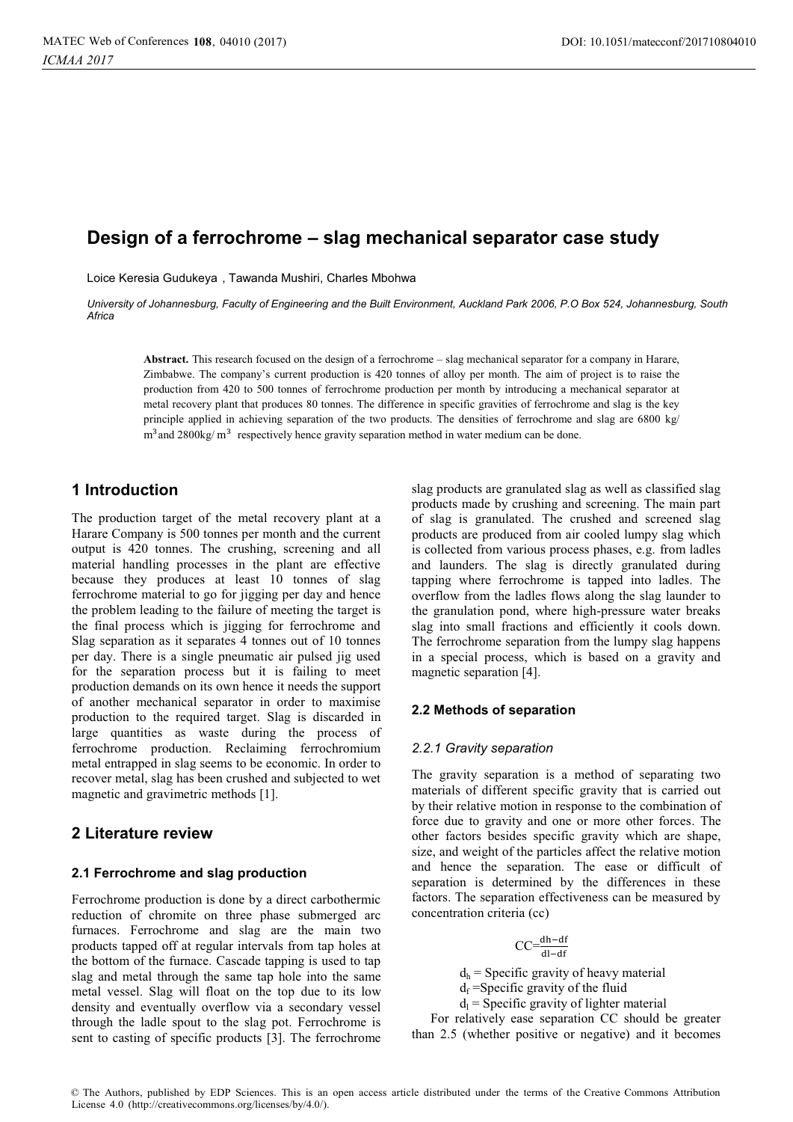# **Design of a ferrochrome – slag mechanical separator case study**

Loice Keresia Gudukeya , Tawanda Mushiri, Charles Mbohwa

*University of Johannesburg, Faculty of Engineering and the Built Environment, Auckland Park 2006, P.O Box 524, Johannesburg, South Africa* 

**Abstract.** This research focused on the design of a ferrochrome – slag mechanical separator for a company in Harare, Zimbabwe. The company's current production is 420 tonnes of alloy per month. The aim of project is to raise the production from 420 to 500 tonnes of ferrochrome production per month by introducing a mechanical separator at metal recovery plant that produces 80 tonnes. The difference in specific gravities of ferrochrome and slag is the key principle applied in achieving separation of the two products. The densities of ferrochrome and slag are 6800 kg/ m<sup>3</sup> and 2800kg/ m<sup>3</sup> respectively hence gravity separation method in water medium can be done.

# **1 Introduction**

The production target of the metal recovery plant at a Harare Company is 500 tonnes per month and the current output is 420 tonnes. The crushing, screening and all material handling processes in the plant are effective because they produces at least 10 tonnes of slag ferrochrome material to go for jigging per day and hence the problem leading to the failure of meeting the target is the final process which is jigging for ferrochrome and Slag separation as it separates 4 tonnes out of 10 tonnes per day. There is a single pneumatic air pulsed jig used for the separation process but it is failing to meet production demands on its own hence it needs the support of another mechanical separator in order to maximise production to the required target. Slag is discarded in large quantities as waste during the process of ferrochrome production. Reclaiming ferrochromium metal entrapped in slag seems to be economic. In order to recover metal, slag has been crushed and subjected to wet magnetic and gravimetric methods [1].

# **2 Literature review**

### **2.1 Ferrochrome and slag production**

Ferrochrome production is done by a direct carbothermic reduction of chromite on three phase submerged arc furnaces. Ferrochrome and slag are the main two products tapped off at regular intervals from tap holes at the bottom of the furnace. Cascade tapping is used to tap slag and metal through the same tap hole into the same metal vessel. Slag will float on the top due to its low density and eventually overflow via a secondary vessel through the ladle spout to the slag pot. Ferrochrome is sent to casting of specific products [3]. The ferrochrome

slag products are granulated slag as well as classified slag products made by crushing and screening. The main part of slag is granulated. The crushed and screened slag products are produced from air cooled lumpy slag which is collected from various process phases, e.g. from ladles and launders. The slag is directly granulated during tapping where ferrochrome is tapped into ladles. The overflow from the ladles flows along the slag launder to the granulation pond, where high-pressure water breaks slag into small fractions and efficiently it cools down. The ferrochrome separation from the lumpy slag happens in a special process, which is based on a gravity and magnetic separation [4].

### **2.2 Methods of separation**

### *2.2.1 Gravity separation*

The gravity separation is a method of separating two materials of different specific gravity that is carried out by their relative motion in response to the combination of force due to gravity and one or more other forces. The other factors besides specific gravity which are shape, size, and weight of the particles affect the relative motion and hence the separation. The ease or difficult of separation is determined by the differences in these factors. The separation effectiveness can be measured by concentration criteria (cc)

$$
CC = \frac{dh - df}{dl - df}
$$

 $d_h$  = Specific gravity of heavy material

- $d_f$  =Specific gravity of the fluid
- $d_1$  = Specific gravity of lighter material

For relatively ease separation CC should be greater than 2.5 (whether positive or negative) and it becomes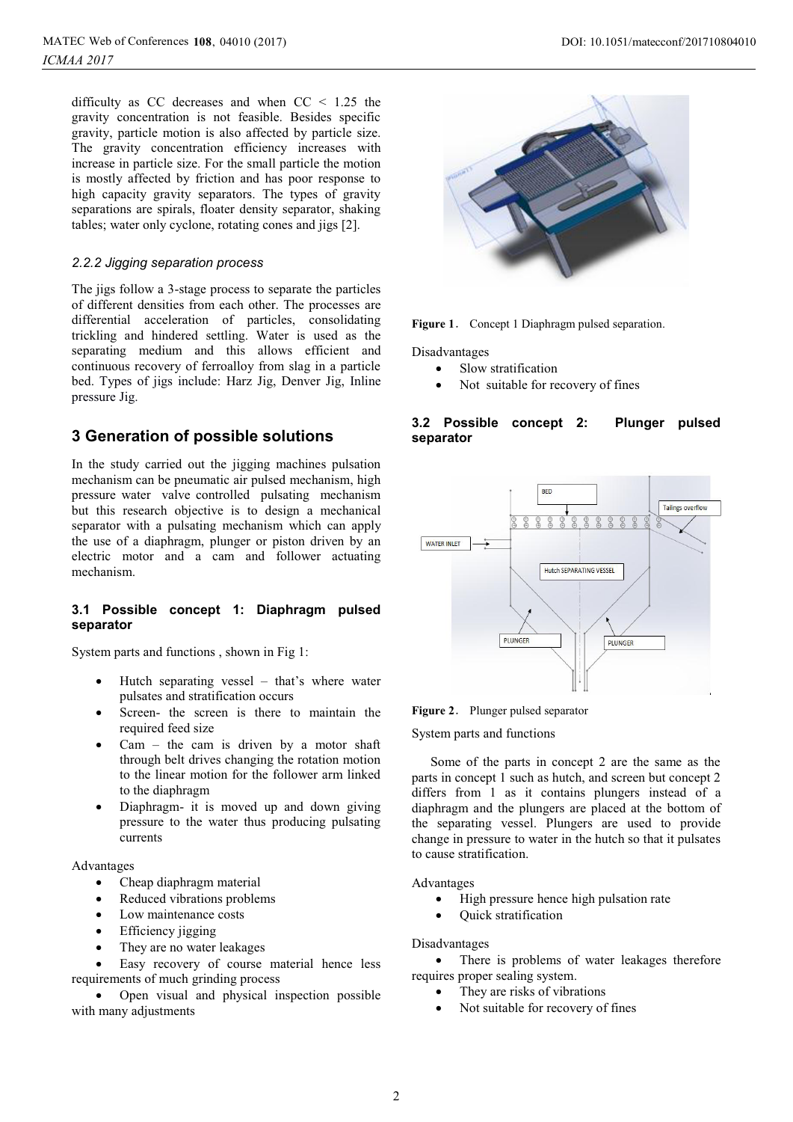difficulty as CC decreases and when CC < 1.25 the gravity concentration is not feasible. Besides specific gravity, particle motion is also affected by particle size. The gravity concentration efficiency increases with increase in particle size. For the small particle the motion is mostly affected by friction and has poor response to high capacity gravity separators. The types of gravity separations are spirals, floater density separator, shaking tables; water only cyclone, rotating cones and jigs [2].

## *2.2.2 Jigging separation process*

The jigs follow a 3-stage process to separate the particles of different densities from each other. The processes are differential acceleration of particles, consolidating trickling and hindered settling. Water is used as the separating medium and this allows efficient and continuous recovery of ferroalloy from slag in a particle bed. Types of jigs include: Harz Jig, Denver Jig, Inline pressure Jig.

## **3 Generation of possible solutions**

In the study carried out the jigging machines pulsation mechanism can be pneumatic air pulsed mechanism, high pressure water valve controlled pulsating mechanism but this research objective is to design a mechanical separator with a pulsating mechanism which can apply the use of a diaphragm, plunger or piston driven by an electric motor and a cam and follower actuating mechanism.

#### **3.1 Possible concept 1: Diaphragm pulsed separator**

System parts and functions , shown in Fig 1:

- - Hutch separating vessel – that's where water pulsates and stratification occurs
- - Screen- the screen is there to maintain the required feed size
- - $Cam - the cam is driven by a motor shaft$ through belt drives changing the rotation motion to the linear motion for the follower arm linked to the diaphragm
- - Diaphragm- it is moved up and down giving pressure to the water thus producing pulsating currents

#### Advantages

- $\bullet$ Cheap diaphragm material
- -Reduced vibrations problems
- -Low maintenance costs
- -Efficiency jigging
- -They are no water leakages
- - Easy recovery of course material hence less requirements of much grinding process

- Open visual and physical inspection possible with many adjustments



Figure 1. Concept 1 Diaphragm pulsed separation.

Disadvantages

- $\bullet$ Slow stratification
- -Not suitable for recovery of fines

## **3.2 Possible concept 2: Plunger pulsed separator**



**Figure 2.** Plunger pulsed separator

System parts and functions

Some of the parts in concept 2 are the same as the parts in concept 1 such as hutch, and screen but concept 2 differs from 1 as it contains plungers instead of a diaphragm and the plungers are placed at the bottom of the separating vessel. Plungers are used to provide change in pressure to water in the hutch so that it pulsates to cause stratification.

#### Advantages

- -High pressure hence high pulsation rate
- -Quick stratification

Disadvantages

- There is problems of water leakages therefore requires proper sealing system.

- -They are risks of vibrations
- -Not suitable for recovery of fines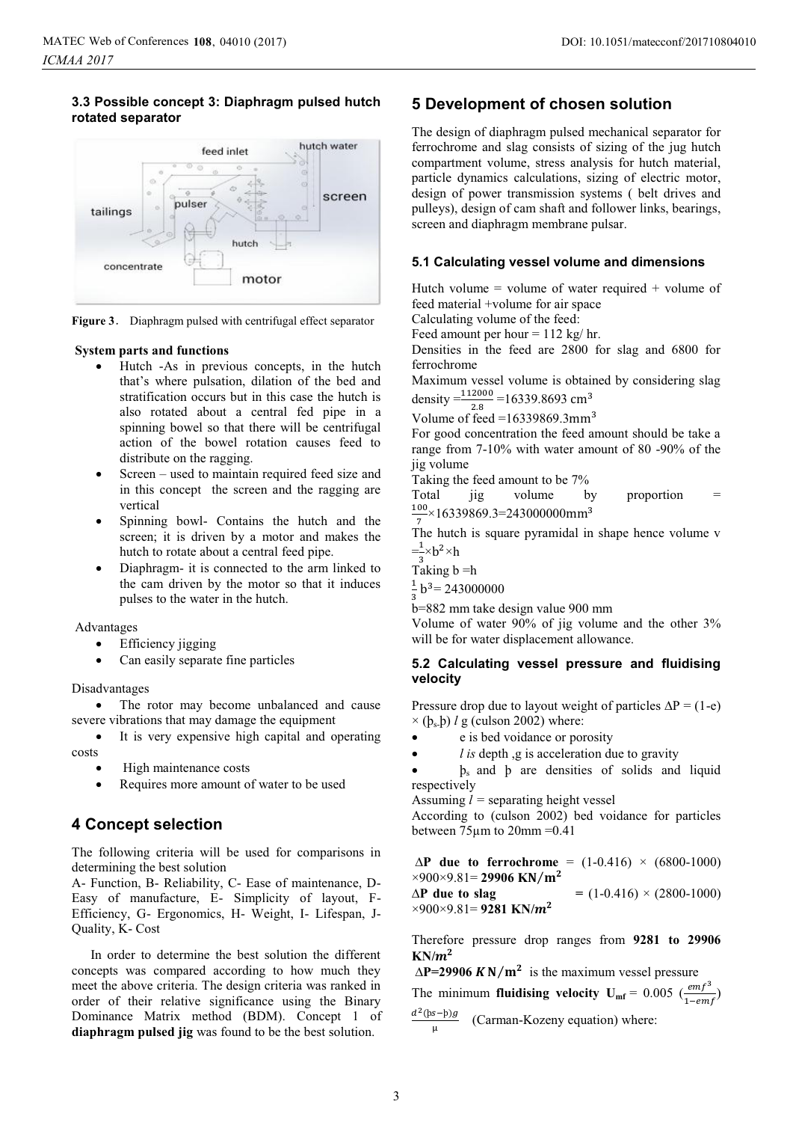### **3.3 Possible concept 3: Diaphragm pulsed hutch rotated separator**



Figure 3. Diaphragm pulsed with centrifugal effect separator

### **System parts and functions**

- - Hutch -As in previous concepts, in the hutch that's where pulsation, dilation of the bed and stratification occurs but in this case the hutch is also rotated about a central fed pipe in a spinning bowel so that there will be centrifugal action of the bowel rotation causes feed to distribute on the ragging.
- - Screen – used to maintain required feed size and in this concept the screen and the ragging are vertical
- - Spinning bowl- Contains the hutch and the screen; it is driven by a motor and makes the hutch to rotate about a central feed pipe.
- - Diaphragm- it is connected to the arm linked to the cam driven by the motor so that it induces pulses to the water in the hutch.

#### Advantages

- -Efficiency jigging
- -Can easily separate fine particles

Disadvantages

 $\bullet$  The rotor may become unbalanced and cause severe vibrations that may damage the equipment

- - It is very expensive high capital and operating costs
	- -High maintenance costs
	- -Requires more amount of water to be used

# **4 Concept selection**

The following criteria will be used for comparisons in determining the best solution

A- Function, B- Reliability, C- Ease of maintenance, D-Easy of manufacture, E- Simplicity of layout, F-Efficiency, G- Ergonomics, H- Weight, I- Lifespan, J-Quality, K- Cost

In order to determine the best solution the different concepts was compared according to how much they meet the above criteria. The design criteria was ranked in order of their relative significance using the Binary Dominance Matrix method (BDM). Concept 1 of **diaphragm pulsed jig** was found to be the best solution.

# **5 Development of chosen solution**

The design of diaphragm pulsed mechanical separator for ferrochrome and slag consists of sizing of the jug hutch compartment volume, stress analysis for hutch material, particle dynamics calculations, sizing of electric motor, design of power transmission systems ( belt drives and pulleys), design of cam shaft and follower links, bearings, screen and diaphragm membrane pulsar.

## **5.1 Calculating vessel volume and dimensions**

Hutch volume  $=$  volume of water required  $+$  volume of feed material +volume for air space

Calculating volume of the feed:

Feed amount per hour  $= 112$  kg/ hr.

Densities in the feed are 2800 for slag and 6800 for ferrochrome

Maximum vessel volume is obtained by considering slag density  $=\frac{112000}{2.8}$  = 16339.8693 cm<sup>3</sup>

Volume of feed = $16339869.3$ mm<sup>3</sup>

For good concentration the feed amount should be take a range from 7-10% with water amount of 80 -90% of the jig volume

Taking the feed amount to be 7%

Total jig volume by proportion  $\frac{100}{7}$  × 16339869.3=243000000mm<sup>3</sup>

The hutch is square pyramidal in shape hence volume v  $\frac{1}{2}$  $\frac{1}{3} \times b^2 \times h$ 

Taking b =h

 $\mathbf{1}$  $\frac{1}{3}$  b<sup>3</sup> = 243000000

b=882 mm take design value 900 mm

Volume of water 90% of jig volume and the other 3% will be for water displacement allowance.

### **5.2 Calculating vessel pressure and fluidising velocity**

Pressure drop due to layout weight of particles  $\Delta P = (1-e)$  $\times$  ( $b_s$ - $b$ ) *l* g (culson 2002) where:

e is bed voidance or porosity

*l* is depth ,g is acceleration due to gravity

- $\mathbf{b}_s$  and  $\mathbf{b}_s$  are densities of solids and liquid respectively

Assuming *l =* separating height vessel

According to (culson 2002) bed voidance for particles between  $75\mu$ m to  $20$ mm =0.41

**∆P due to ferrochrome** = (1-0.416) × (6800-1000)  $\times$ 900 $\times$ 9.81= **29906 KN/m<sup>2</sup>** 

 $\Delta$ **P** due to slag  $= (1-0.416) \times (2800-1000)$ ×900×9.81= **9281 KN/**

Therefore pressure drop ranges from **9281 to 29906**  $KN/m^2$ 

 $\Delta P = 29906 \text{ K N/m}^2$  is the maximum vessel pressure The minimum **fluidising velocity**  $U_{\text{mf}} = 0.005 \left( \frac{emf^3}{1 - emf} \right)$  $d^2(hs - h)g$  $\frac{\text{S}^2 - \text{P}^2 y}{\text{U}}$  (Carman-Kozeny equation) where: